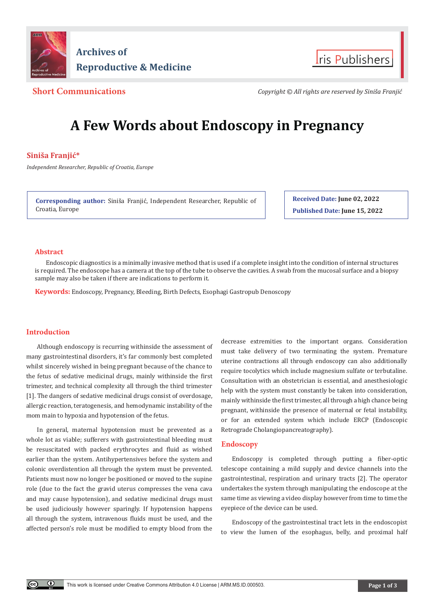



**Short Communications** *Copyright © All rights are reserved by Siniša Franjić*

# **A Few Words about Endoscopy in Pregnancy**

# **Siniša Franjić\***

*Independent Researcher, Republic of Croatia, Europe*

**Corresponding author:** Siniša Franjić, Independent Researcher, Republic of Croatia, Europe

**Received Date: June 02, 2022 Published Date: June 15, 2022**

## **Abstract**

Endoscopic diagnostics is a minimally invasive method that is used if a complete insight into the condition of internal structures is required. The endoscope has a camera at the top of the tube to observe the cavities. A swab from the mucosal surface and a biopsy sample may also be taken if there are indications to perform it.

**Keywords:** Endoscopy, Pregnancy, Bleeding, Birth Defects, Esophagi Gastropub Denoscopy

# **Introduction**

Although endoscopy is recurring withinside the assessment of many gastrointestinal disorders, it's far commonly best completed whilst sincerely wished in being pregnant because of the chance to the fetus of sedative medicinal drugs, mainly withinside the first trimester, and technical complexity all through the third trimester [1]. The dangers of sedative medicinal drugs consist of overdosage, allergic reaction, teratogenesis, and hemodynamic instability of the mom main to hypoxia and hypotension of the fetus.

In general, maternal hypotension must be prevented as a whole lot as viable; sufferers with gastrointestinal bleeding must be resuscitated with packed erythrocytes and fluid as wished earlier than the system. Antihypertensives before the system and colonic overdistention all through the system must be prevented. Patients must now no longer be positioned or moved to the supine role (due to the fact the gravid uterus compresses the vena cava and may cause hypotension), and sedative medicinal drugs must be used judiciously however sparingly. If hypotension happens all through the system, intravenous fluids must be used, and the affected person's role must be modified to empty blood from the decrease extremities to the important organs. Consideration must take delivery of two terminating the system. Premature uterine contractions all through endoscopy can also additionally require tocolytics which include magnesium sulfate or terbutaline. Consultation with an obstetrician is essential, and anesthesiologic help with the system must constantly be taken into consideration, mainly withinside the first trimester, all through a high chance being pregnant, withinside the presence of maternal or fetal instability, or for an extended system which include ERCP (Endoscopic Retrograde Cholangiopancreatography).

# **Endoscopy**

Endoscopy is completed through putting a fiber‐optic telescope containing a mild supply and device channels into the gastrointestinal, respiration and urinary tracts [2]. The operator undertakes the system through manipulating the endoscope at the same time as viewing a video display however from time to time the eyepiece of the device can be used.

Endoscopy of the gastrointestinal tract lets in the endoscopist to view the lumen of the esophagus, belly, and proximal half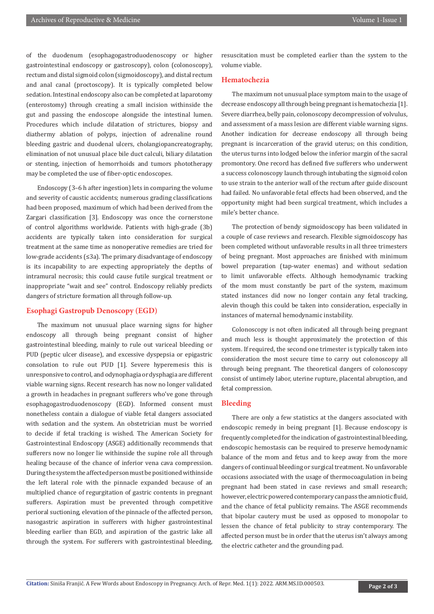of the duodenum (esophagogastroduodenoscopy or higher gastrointestinal endoscopy or gastroscopy), colon (colonoscopy), rectum and distal sigmoid colon (sigmoidoscopy), and distal rectum and anal canal (proctoscopy). It is typically completed below sedation. Intestinal endoscopy also can be completed at laparotomy (enterostomy) through creating a small incision withinside the gut and passing the endoscope alongside the intestinal lumen. Procedures which include dilatation of strictures, biopsy and diathermy ablation of polyps, injection of adrenaline round bleeding gastric and duodenal ulcers, cholangiopancreatography, elimination of not unusual place bile duct calculi, biliary dilatation or stenting, injection of hemorrhoids and tumors phototherapy may be completed the use of fiber‐optic endoscopes.

Endoscopy (3–6 h after ingestion) lets in comparing the volume and severity of caustic accidents; numerous grading classifications had been proposed, maximum of which had been derived from the Zargari classification [3]. Endoscopy was once the cornerstone of control algorithms worldwide. Patients with high-grade (3b) accidents are typically taken into consideration for surgical treatment at the same time as nonoperative remedies are tried for low-grade accidents (≤3a). The primary disadvantage of endoscopy is its incapability to are expecting appropriately the depths of intramural necrosis; this could cause futile surgical treatment or inappropriate "wait and see" control. Endoscopy reliably predicts dangers of stricture formation all through follow-up.

#### **Esophagi Gastropub Denoscopy (EGD)**

The maximum not unusual place warning signs for higher endoscopy all through being pregnant consist of higher gastrointestinal bleeding, mainly to rule out variceal bleeding or PUD (peptic ulcer disease), and excessive dyspepsia or epigastric consolation to rule out PUD [1]. Severe hyperemesis this is unresponsive to control, and odynophagia or dysphagia are different viable warning signs. Recent research has now no longer validated a growth in headaches in pregnant sufferers who've gone through esophagogastroduodenoscopy (EGD). Informed consent must nonetheless contain a dialogue of viable fetal dangers associated with sedation and the system. An obstetrician must be worried to decide if fetal tracking is wished. The American Society for Gastrointestinal Endoscopy (ASGE) additionally recommends that sufferers now no longer lie withinside the supine role all through healing because of the chance of inferior vena cava compression. During the system the affected person must be positioned withinside the left lateral role with the pinnacle expanded because of an multiplied chance of regurgitation of gastric contents in pregnant sufferers. Aspiration must be prevented through competitive perioral suctioning, elevation of the pinnacle of the affected person, nasogastric aspiration in sufferers with higher gastrointestinal bleeding earlier than EGD, and aspiration of the gastric lake all through the system. For sufferers with gastrointestinal bleeding,

resuscitation must be completed earlier than the system to the volume viable.

#### **Hematochezia**

The maximum not unusual place symptom main to the usage of decrease endoscopy all through being pregnant is hematochezia [1]. Severe diarrhea, belly pain, colonoscopy decompression of volvulus, and assessment of a mass lesion are different viable warning signs. Another indication for decrease endoscopy all through being pregnant is incarceration of the gravid uterus; on this condition, the uterus turns into lodged below the inferior margin of the sacral promontory. One record has defined five sufferers who underwent a success colonoscopy launch through intubating the sigmoid colon to use strain to the anterior wall of the rectum after guide discount had failed. No unfavorable fetal effects had been observed, and the opportunity might had been surgical treatment, which includes a mile's better chance.

The protection of bendy sigmoidoscopy has been validated in a couple of case reviews and research. Flexible sigmoidoscopy has been completed without unfavorable results in all three trimesters of being pregnant. Most approaches are finished with minimum bowel preparation (tap-water enemas) and without sedation to limit unfavorable effects. Although hemodynamic tracking of the mom must constantly be part of the system, maximum stated instances did now no longer contain any fetal tracking, alevin though this could be taken into consideration, especially in instances of maternal hemodynamic instability.

Colonoscopy is not often indicated all through being pregnant and much less is thought approximately the protection of this system. If required, the second one trimester is typically taken into consideration the most secure time to carry out colonoscopy all through being pregnant. The theoretical dangers of colonoscopy consist of untimely labor, uterine rupture, placental abruption, and fetal compression.

#### **Bleeding**

There are only a few statistics at the dangers associated with endoscopic remedy in being pregnant [1]. Because endoscopy is frequently completed for the indication of gastrointestinal bleeding, endoscopic hemostasis can be required to preserve hemodynamic balance of the mom and fetus and to keep away from the more dangers of continual bleeding or surgical treatment. No unfavorable occasions associated with the usage of thermocoagulation in being pregnant had been stated in case reviews and small research; however, electric powered contemporary can pass the amniotic fluid, and the chance of fetal publicity remains. The ASGE recommends that bipolar cautery must be used as opposed to monopolar to lessen the chance of fetal publicity to stray contemporary. The affected person must be in order that the uterus isn't always among the electric catheter and the grounding pad.